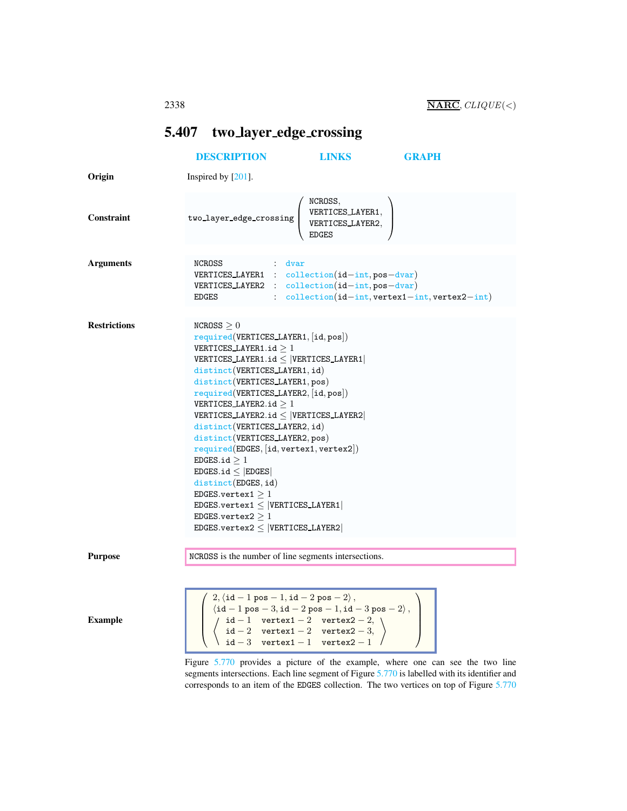## <span id="page-0-0"></span>5.407 two layer\_edge\_crossing

|                     | <b>DESCRIPTION</b>                                                                                                                                                                                                                                                                                                                                                                                                                                                                                                                                                                                                                                                     | LINKS                                                                                                                                                                                                                                                                                                                                       | <b>GRAPH</b> |  |
|---------------------|------------------------------------------------------------------------------------------------------------------------------------------------------------------------------------------------------------------------------------------------------------------------------------------------------------------------------------------------------------------------------------------------------------------------------------------------------------------------------------------------------------------------------------------------------------------------------------------------------------------------------------------------------------------------|---------------------------------------------------------------------------------------------------------------------------------------------------------------------------------------------------------------------------------------------------------------------------------------------------------------------------------------------|--------------|--|
| Origin              | Inspired by $[201]$ .                                                                                                                                                                                                                                                                                                                                                                                                                                                                                                                                                                                                                                                  |                                                                                                                                                                                                                                                                                                                                             |              |  |
| Constraint          | two_layer_edge_crossing                                                                                                                                                                                                                                                                                                                                                                                                                                                                                                                                                                                                                                                | NCROSS,<br>VERTICES_LAYER1,<br>VERTICES_LAYER2,<br><b>EDGES</b>                                                                                                                                                                                                                                                                             |              |  |
| <b>Arguments</b>    | NCROSS<br><b>EDGES</b>                                                                                                                                                                                                                                                                                                                                                                                                                                                                                                                                                                                                                                                 | $:$ dvar<br><b>VERTICES LAYER1</b> : $\text{collection}(id-int, pos-dvar)$<br>VERTICES_LAYER2 : collection(id-int,pos-dvar)<br>$\colon$ collection(id-int, vertex1-int, vertex2-int)                                                                                                                                                        |              |  |
| <b>Restrictions</b> | NCROS > 0<br>required(VERTICES_LAYER1, [id, pos])<br>VERTICES_LAYER1.id $\geq 1$<br>VERTICES_LAYER1.id $\leq$  VERTICES_LAYER1 <br>distinct (VERTICES_LAYER1, id)<br>distinct(VERTICES_LAYER1, pos)<br>required(VERTICES_LAYER2, [id, pos])<br>VERTICES_LAYER2.id $\geq 1$<br>VERTICES LAYER2.id $\leq$  VERTICES LAYER2 <br>distinct(VERTICES_LAYER2, id)<br>distinct(VERTICES_LAYER2, pos)<br>$required(EDGES, [id, vertex1, vertex2])$<br><code>EDGES.id</code> $\geq 1$<br>EDGES.id $\leq$ EDGES<br>distinct(EDGES, id)<br>EDGES.vertex $1 \geq 1$<br>EDGES.vertex $1 \leq$ VERTICES LAYER1<br>EDGES.vertex $2 \geq 1$<br>$EDGES. vertex 2 \leq  VERTICES_LAYER2 $ |                                                                                                                                                                                                                                                                                                                                             |              |  |
| <b>Purpose</b>      |                                                                                                                                                                                                                                                                                                                                                                                                                                                                                                                                                                                                                                                                        | NCROSS is the number of line segments intersections.                                                                                                                                                                                                                                                                                        |              |  |
| <b>Example</b>      | Figure 5.770 provides a picture of the example, where one can see the two line                                                                                                                                                                                                                                                                                                                                                                                                                                                                                                                                                                                         | $2, \langle id - 1 pos - 1, id - 2 pos - 2 \rangle,$<br>$\langle id - 1 \text{ pos } -3, id - 2 \text{ pos } -1, id - 3 \text{ pos } -2 \rangle,$<br>$\langle id - 1 \text{ vertex } 1 - 2 \text{ vertex } 2 - 2,$<br>$\langle id - 2 \text{ vertex } 1 - 2 \text{ vertex } 2 - 3,$<br>$id - 3 \text{ vertex } 1 - 1 \text{ vertex } 2 - 1$ |              |  |

segments intersections. Each line segment of Figure [5.770](#page-1-1) is labelled with its identifier and corresponds to an item of the EDGES collection. The two vertices on top of Figure [5.770](#page-1-1)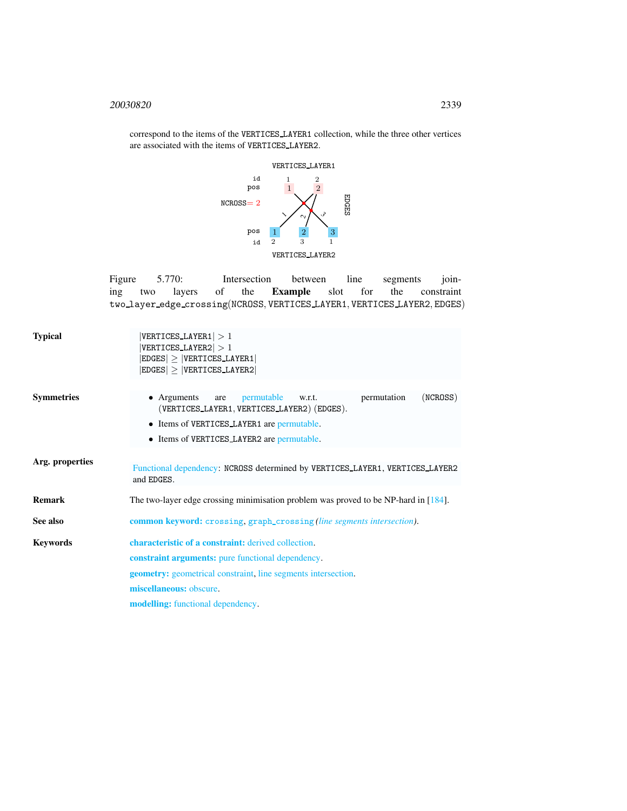## <sup>20030820</sup> 2339

correspond to the items of the VERTICES LAYER1 collection, while the three other vertices are associated with the items of VERTICES LAYER2.



<span id="page-1-1"></span>Figure 5.770: Intersection between line segments joining two layers of the Example slot for the constraint two layer edge crossing(NCROSS, VERTICES LAYER1, VERTICES LAYER2, EDGES)

<span id="page-1-0"></span>

| <b>Typical</b>    | VERTICES_LAYER1 $ >1$<br>VERTICES_LAYER2 $ >1$<br>$ EDGES $ $\ge$ $ VERTICES$ $LAYER1 $<br>$ EDGES $ $\ge$ $ VERTICES$ $LAYER2 $ |  |  |  |  |
|-------------------|----------------------------------------------------------------------------------------------------------------------------------|--|--|--|--|
| <b>Symmetries</b> | (NCROSS)<br>permutable<br>• Arguments<br>permutation<br>w.r.t.<br>are<br>(VERTICES LAYER1, VERTICES LAYER2) (EDGES).             |  |  |  |  |
|                   | • Items of VERTICES LAYER1 are permutable.                                                                                       |  |  |  |  |
|                   | • Items of VERTICES LAYER2 are permutable.                                                                                       |  |  |  |  |
|                   |                                                                                                                                  |  |  |  |  |
| Arg. properties   | Functional dependency: NCROSS determined by VERTICES_LAYER1, VERTICES_LAYER2<br>and EDGES.                                       |  |  |  |  |
| <b>Remark</b>     | The two-layer edge crossing minimisation problem was proved to be NP-hard in [184].                                              |  |  |  |  |
| See also          | <b>common keyword:</b> crossing, graph_crossing(line segments intersection).                                                     |  |  |  |  |
| <b>Keywords</b>   | characteristic of a constraint: derived collection.                                                                              |  |  |  |  |
|                   | <b>constraint arguments:</b> pure functional dependency.                                                                         |  |  |  |  |
|                   | <b>geometry:</b> geometrical constraint, line segments intersection.                                                             |  |  |  |  |
|                   | miscellaneous: obscure.                                                                                                          |  |  |  |  |
|                   | <b>modelling:</b> functional dependency.                                                                                         |  |  |  |  |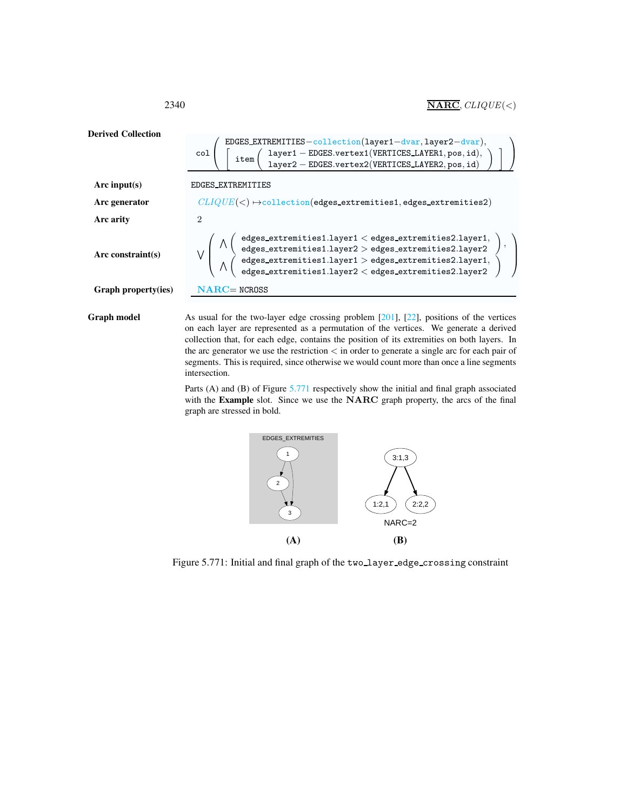| <b>Derived Collection</b> | $\texttt{col}\left(\begin{array}{c} \texttt{EDGES\_EXTREMITIES—collection(layer1-dur1, layer2-dur1)},\\ \texttt{item}\left(\begin{array}{c} \texttt{layer1-EDGES.vertex1(VERTICES\_LAYER1, pos, id)},\\ \texttt{layer2-EDGES.vertex2(VERTICES\_LAYER2, pos, id)} \end{array}\right)\end{array}\right)$                                                                                                                                           |  |  |  |
|---------------------------|--------------------------------------------------------------------------------------------------------------------------------------------------------------------------------------------------------------------------------------------------------------------------------------------------------------------------------------------------------------------------------------------------------------------------------------------------|--|--|--|
| Arc input(s)              | EDGES_EXTREMITIES                                                                                                                                                                                                                                                                                                                                                                                                                                |  |  |  |
| Arc generator             | $CLIQUE(<) \rightarrow collection(edges_extremities1, edges_extremities2)$                                                                                                                                                                                                                                                                                                                                                                       |  |  |  |
| Arc arity                 | $\mathfrak{D}$                                                                                                                                                                                                                                                                                                                                                                                                                                   |  |  |  |
| Arc constraint $(s)$      | $\mathbb{V}\left(\begin{array}{c}\mathbb{A}\left(\begin{array}{c}\text{edges\_extremities1.layer1}<\text{edges\_extremities2.layer1},\\\text{edges\_extremities1.layer2}> \text{edges\_extremities2.layer2}\end{array}\right),\\ \mathbb{A}\left(\begin{array}{c}\text{edges\_extremities1.layer1}> \text{edges\_extremities2.layer1},\\\text{edges\_extremities1.layer2}<\text{edges\_extremities2.layer2}\end{array}\right)\end{array}\right)$ |  |  |  |
| Graph property(ies)       | $NARC = NCROSS$                                                                                                                                                                                                                                                                                                                                                                                                                                  |  |  |  |
| <b>Graph model</b>        | As usual for the two-layer edge crossing problem $[201]$ , $[22]$ , positions of the vertices                                                                                                                                                                                                                                                                                                                                                    |  |  |  |

on each layer are represented as a permutation of the vertices. We generate a derived collection that, for each edge, contains the position of its extremities on both layers. In the arc generator we use the restriction < in order to generate a single arc for each pair of segments. This is required, since otherwise we would count more than once a line segments intersection.

Parts (A) and (B) of Figure [5.771](#page-2-1) respectively show the initial and final graph associated with the Example slot. Since we use the NARC graph property, the arcs of the final graph are stressed in bold.



<span id="page-2-1"></span>Figure 5.771: Initial and final graph of the two layer edge crossing constraint

<span id="page-2-0"></span>